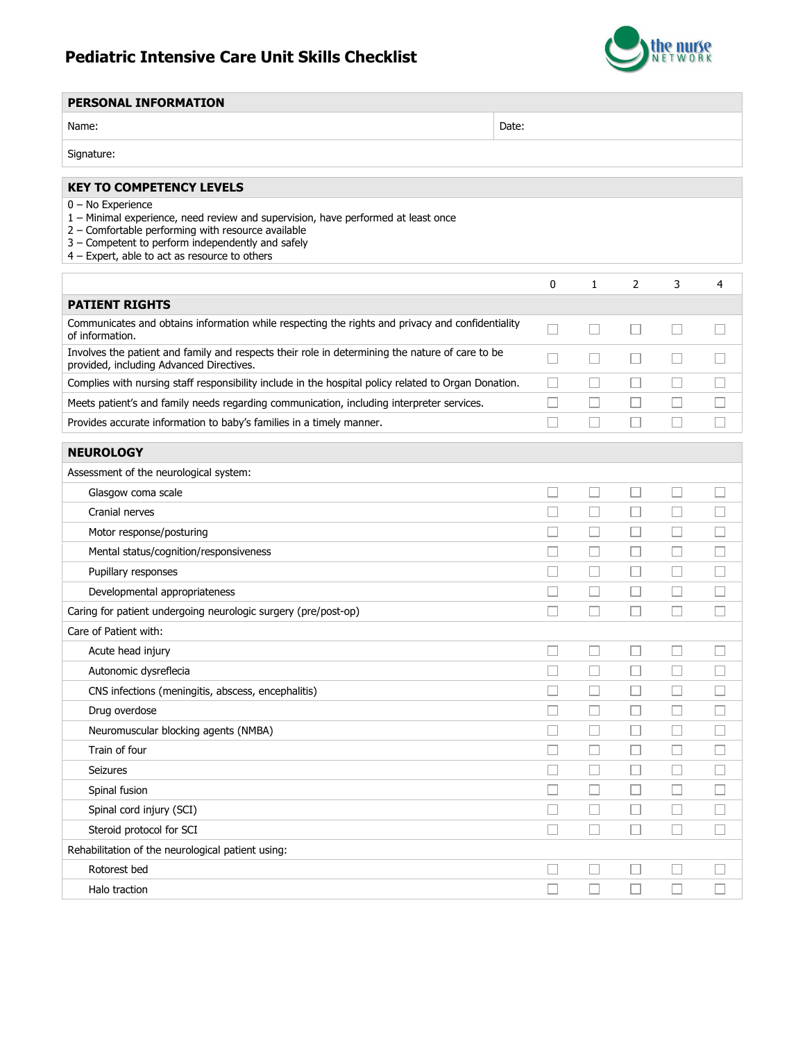## Pediatric Intensive Care Unit Skills Checklist



| <b>PERSONAL INFORMATION</b>                                                                                                                                                                                                                                          |       |                          |                             |                             |                             |                          |
|----------------------------------------------------------------------------------------------------------------------------------------------------------------------------------------------------------------------------------------------------------------------|-------|--------------------------|-----------------------------|-----------------------------|-----------------------------|--------------------------|
| Name:                                                                                                                                                                                                                                                                | Date: |                          |                             |                             |                             |                          |
| Signature:                                                                                                                                                                                                                                                           |       |                          |                             |                             |                             |                          |
| <b>KEY TO COMPETENCY LEVELS</b>                                                                                                                                                                                                                                      |       |                          |                             |                             |                             |                          |
| $0 - No$ Experience<br>1 - Minimal experience, need review and supervision, have performed at least once<br>2 - Comfortable performing with resource available<br>3 - Competent to perform independently and safely<br>4 - Expert, able to act as resource to others |       |                          |                             |                             |                             |                          |
|                                                                                                                                                                                                                                                                      |       | 0                        | 1                           | $\overline{2}$              | 3                           | 4                        |
| <b>PATIENT RIGHTS</b>                                                                                                                                                                                                                                                |       |                          |                             |                             |                             |                          |
| Communicates and obtains information while respecting the rights and privacy and confidentiality<br>of information.                                                                                                                                                  |       | П                        | $\Box$                      |                             | $\overline{\phantom{a}}$    |                          |
| Involves the patient and family and respects their role in determining the nature of care to be<br>provided, including Advanced Directives.                                                                                                                          |       | $\overline{\phantom{a}}$ | $\Box$                      |                             |                             |                          |
| Complies with nursing staff responsibility include in the hospital policy related to Organ Donation.                                                                                                                                                                 |       | $\vert \ \ \vert$        | П                           |                             |                             |                          |
| Meets patient's and family needs regarding communication, including interpreter services.                                                                                                                                                                            |       |                          |                             |                             |                             |                          |
| Provides accurate information to baby's families in a timely manner.                                                                                                                                                                                                 |       |                          | Ш                           |                             |                             |                          |
| <b>NEUROLOGY</b>                                                                                                                                                                                                                                                     |       |                          |                             |                             |                             |                          |
| Assessment of the neurological system:                                                                                                                                                                                                                               |       |                          |                             |                             |                             |                          |
| Glasgow coma scale                                                                                                                                                                                                                                                   |       | $\overline{\phantom{a}}$ | □                           | П                           | П                           | $\overline{\phantom{a}}$ |
| Cranial nerves                                                                                                                                                                                                                                                       |       | П                        | $\Box$                      | П                           | П                           | □                        |
| Motor response/posturing                                                                                                                                                                                                                                             |       | ×.                       | $\mathcal{L}_{\mathcal{A}}$ | $\overline{\phantom{a}}$    | n.                          | $\sim$                   |
| Mental status/cognition/responsiveness                                                                                                                                                                                                                               |       |                          | П                           | $\mathcal{L}_{\mathcal{A}}$ | Г                           |                          |
| Pupillary responses                                                                                                                                                                                                                                                  |       | П                        | П                           |                             | П                           |                          |
| Developmental appropriateness                                                                                                                                                                                                                                        |       |                          |                             |                             |                             |                          |
| Caring for patient undergoing neurologic surgery (pre/post-op)                                                                                                                                                                                                       |       | П                        | L.                          |                             |                             |                          |
| Care of Patient with:                                                                                                                                                                                                                                                |       |                          |                             |                             |                             |                          |
| Acute head injury                                                                                                                                                                                                                                                    |       |                          | Н                           |                             |                             |                          |
| Autonomic dysreflecia                                                                                                                                                                                                                                                |       |                          |                             |                             |                             |                          |
| CNS infections (meningitis, abscess, encephalitis)                                                                                                                                                                                                                   |       |                          |                             |                             |                             |                          |
| Drug overdose                                                                                                                                                                                                                                                        |       | - 1                      |                             |                             |                             |                          |
| Neuromuscular blocking agents (NMBA)                                                                                                                                                                                                                                 |       |                          | L                           |                             |                             |                          |
| Train of four                                                                                                                                                                                                                                                        |       |                          | ⊔                           |                             | $\mathcal{L}_{\mathcal{A}}$ |                          |
| Seizures                                                                                                                                                                                                                                                             |       | $\Box$                   | L.                          |                             | $\mathcal{L}_{\mathcal{A}}$ |                          |
| Spinal fusion                                                                                                                                                                                                                                                        |       | $\overline{\phantom{a}}$ | Ш                           | $\overline{\phantom{a}}$    | $\Box$                      |                          |
| Spinal cord injury (SCI)                                                                                                                                                                                                                                             |       | ΓI                       | Ш                           |                             | П                           | $\Box$                   |
| Steroid protocol for SCI                                                                                                                                                                                                                                             |       | $\overline{\phantom{a}}$ | □                           | $\overline{\phantom{0}}$    | Ш                           |                          |
| Rehabilitation of the neurological patient using:                                                                                                                                                                                                                    |       |                          |                             |                             |                             |                          |
| Rotorest bed                                                                                                                                                                                                                                                         |       |                          | $\overline{\phantom{a}}$    |                             | H.                          |                          |
| Halo traction                                                                                                                                                                                                                                                        |       |                          |                             |                             |                             |                          |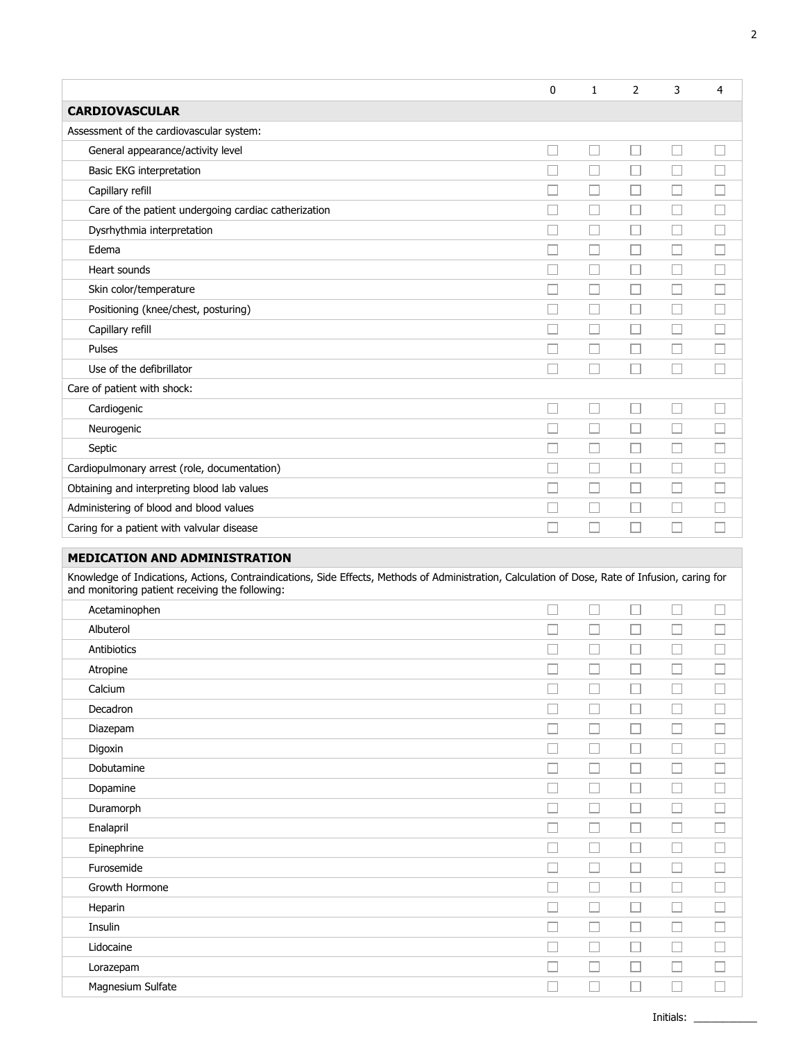|                                                                                                                                                                                                     | 0              | 1                        | 2                        | 3                        | 4                        |  |
|-----------------------------------------------------------------------------------------------------------------------------------------------------------------------------------------------------|----------------|--------------------------|--------------------------|--------------------------|--------------------------|--|
| <b>CARDIOVASCULAR</b>                                                                                                                                                                               |                |                          |                          |                          |                          |  |
| Assessment of the cardiovascular system:                                                                                                                                                            |                |                          |                          |                          |                          |  |
| General appearance/activity level                                                                                                                                                                   |                | П                        |                          |                          |                          |  |
| Basic EKG interpretation                                                                                                                                                                            |                | Г                        |                          |                          |                          |  |
| Capillary refill                                                                                                                                                                                    |                | Г                        |                          |                          |                          |  |
| Care of the patient undergoing cardiac catherization                                                                                                                                                |                | П                        |                          |                          |                          |  |
| Dysrhythmia interpretation                                                                                                                                                                          |                | Г                        |                          |                          |                          |  |
| Edema                                                                                                                                                                                               |                | L                        |                          |                          |                          |  |
| Heart sounds                                                                                                                                                                                        |                | Г                        |                          |                          |                          |  |
| Skin color/temperature                                                                                                                                                                              |                | Г                        |                          |                          |                          |  |
| Positioning (knee/chest, posturing)                                                                                                                                                                 |                | Г                        |                          |                          | $\overline{\phantom{0}}$ |  |
| Capillary refill                                                                                                                                                                                    |                | L.                       |                          |                          |                          |  |
| Pulses                                                                                                                                                                                              |                | П                        |                          |                          |                          |  |
| Use of the defibrillator                                                                                                                                                                            |                |                          |                          |                          |                          |  |
| Care of patient with shock:                                                                                                                                                                         |                |                          |                          |                          |                          |  |
| Cardiogenic                                                                                                                                                                                         | ×              | Г                        |                          | П                        | ٦                        |  |
| Neurogenic                                                                                                                                                                                          |                |                          |                          |                          |                          |  |
| Septic                                                                                                                                                                                              |                | Г                        |                          |                          |                          |  |
| Cardiopulmonary arrest (role, documentation)                                                                                                                                                        |                | L                        | $\overline{\phantom{0}}$ |                          | $\overline{\phantom{0}}$ |  |
| Obtaining and interpreting blood lab values                                                                                                                                                         |                | Г                        |                          |                          |                          |  |
| Administering of blood and blood values                                                                                                                                                             |                | Г                        |                          |                          |                          |  |
| Caring for a patient with valvular disease                                                                                                                                                          |                |                          |                          |                          |                          |  |
| <b>MEDICATION AND ADMINISTRATION</b>                                                                                                                                                                |                |                          |                          |                          |                          |  |
|                                                                                                                                                                                                     |                |                          |                          |                          |                          |  |
| Knowledge of Indications, Actions, Contraindications, Side Effects, Methods of Administration, Calculation of Dose, Rate of Infusion, caring for<br>and monitoring patient receiving the following: |                |                          |                          |                          |                          |  |
|                                                                                                                                                                                                     | $\overline{a}$ | $\overline{\phantom{a}}$ | $\overline{\phantom{a}}$ | $\overline{\phantom{a}}$ |                          |  |

| Acetaminophen     |        | $\Box$                      | l a                      | □      |   |
|-------------------|--------|-----------------------------|--------------------------|--------|---|
| Albuterol         |        | $\mathcal{L}_{\mathcal{A}}$ | $\overline{\phantom{a}}$ | $\Box$ | Τ |
| Antibiotics       |        | $\Box$                      | $\overline{\phantom{a}}$ | $\Box$ |   |
| Atropine          |        | $\Box$                      |                          | □      | т |
| Calcium           |        | П                           |                          | $\Box$ |   |
| Decadron          |        | П                           | H                        | $\Box$ | τ |
| Diazepam          |        | . . I                       |                          | $\Box$ |   |
| Digoxin           |        | $\Box$                      | l.                       | □      |   |
| Dobutamine        |        | a.                          |                          | □      |   |
| Dopamine          |        | ш                           | $\overline{\phantom{a}}$ | $\Box$ | τ |
| Duramorph         |        | □                           |                          | $\Box$ | Π |
| Enalapril         |        | $\Box$                      | l.                       | □      |   |
| Epinephrine       |        | $\Box$                      | H                        | $\Box$ | Τ |
| Furosemide        |        | Ш                           | L.                       | $\Box$ |   |
| Growth Hormone    |        | $\mathcal{L}_{\mathcal{A}}$ |                          | $\Box$ | Ξ |
| Heparin           |        | П                           |                          | $\Box$ |   |
| Insulin           | $\sim$ | $\Box$                      | $\Box$                   | $\Box$ | Τ |
| Lidocaine         |        | J.                          |                          | $\Box$ |   |
| Lorazepam         |        | - 1                         |                          | $\Box$ |   |
| Magnesium Sulfate |        |                             |                          | L.     |   |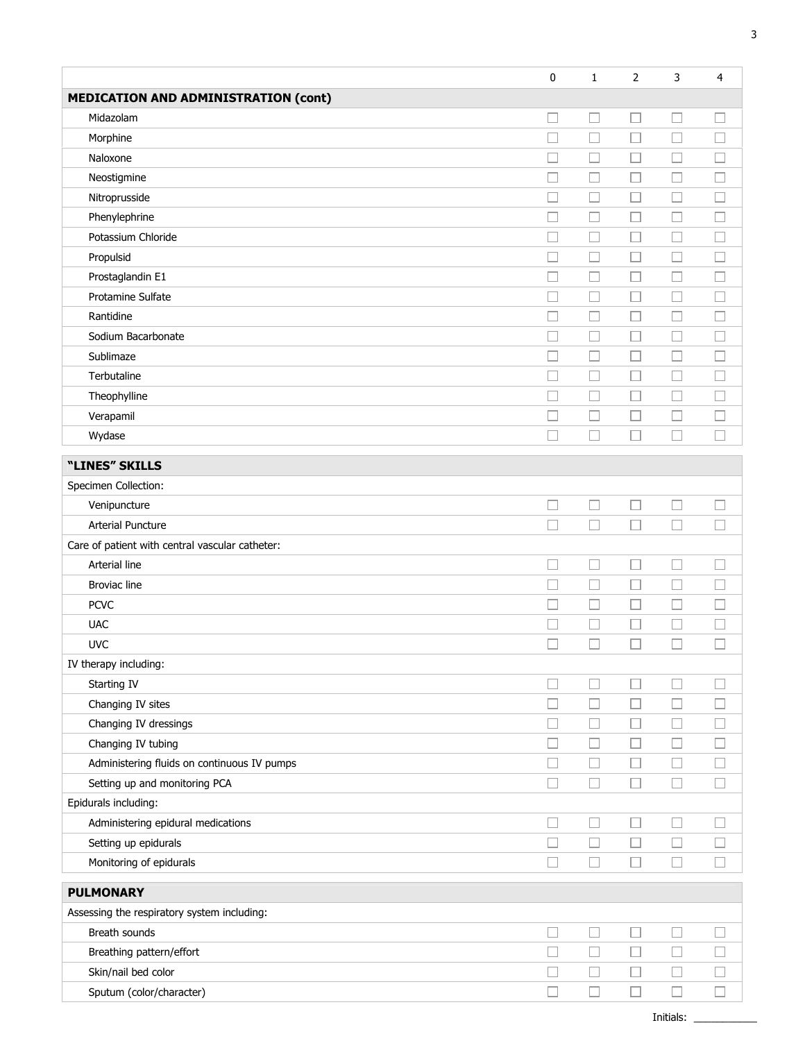|                                                 | 0 | 1                           | 2      | 3                           | $\overline{4}$           |
|-------------------------------------------------|---|-----------------------------|--------|-----------------------------|--------------------------|
| <b>MEDICATION AND ADMINISTRATION (cont)</b>     |   |                             |        |                             |                          |
| Midazolam                                       |   | $\Box$                      | □      | $\Box$                      |                          |
| Morphine                                        |   | $\Box$                      | $\Box$ | $\Box$                      |                          |
| Naloxone                                        |   |                             | $\Box$ |                             |                          |
| Neostigmine                                     |   |                             | $\Box$ | $\mathcal{L}_{\mathcal{A}}$ |                          |
| Nitroprusside                                   |   |                             | $\Box$ | $\Box$                      |                          |
| Phenylephrine                                   |   |                             | $\Box$ | $\mathcal{L}_{\mathcal{A}}$ |                          |
| Potassium Chloride                              |   |                             | $\Box$ | $\Box$                      |                          |
| Propulsid                                       |   | $\overline{\phantom{a}}$    | $\Box$ | $\Box$                      |                          |
| Prostaglandin E1                                |   | П                           | $\Box$ | $\Box$                      |                          |
| Protamine Sulfate                               |   | $\Box$                      | $\Box$ | $\Box$                      | n.                       |
| Rantidine                                       |   | П                           | □      | $\Box$                      |                          |
| Sodium Bacarbonate                              |   | $\overline{\phantom{a}}$    | $\Box$ | $\Box$                      |                          |
| Sublimaze                                       |   | $\Box$                      | □      | □                           | H                        |
| Terbutaline                                     |   | ப                           | $\Box$ | Ш                           | n.                       |
| Theophylline                                    |   | $\Box$                      | □      | $\Box$                      | $\overline{\phantom{a}}$ |
| Verapamil                                       |   | $\Box$                      | $\Box$ | $\Box$                      | $\Box$                   |
| Wydase                                          |   | $\Box$                      | П      | П                           | П                        |
| "LINES" SKILLS                                  |   |                             |        |                             |                          |
| Specimen Collection:                            |   |                             |        |                             |                          |
| Venipuncture                                    |   |                             |        | □                           |                          |
| <b>Arterial Puncture</b>                        |   | $\Box$                      | $\Box$ | $\Box$                      |                          |
| Care of patient with central vascular catheter: |   |                             |        |                             |                          |
| Arterial line                                   |   | $\Box$                      | $\Box$ | □                           |                          |
| <b>Broviac line</b>                             |   | $\Box$                      | $\Box$ | $\Box$                      |                          |
| <b>PCVC</b>                                     |   | $\mathcal{L}_{\mathcal{A}}$ | $\Box$ | $\Box$                      |                          |
| <b>UAC</b>                                      |   | $\Box$                      | □      | □                           |                          |
| <b>UVC</b>                                      |   | $\mathcal{L}$               | П      | $\overline{\phantom{a}}$    |                          |
| IV therapy including:                           |   |                             |        |                             |                          |
| Starting IV                                     |   | $\Box$                      | Ш      | $\overline{\phantom{a}}$    | ×                        |
| Changing IV sites                               |   | $\Box$                      | $\Box$ | $\Box$                      | $\Box$                   |
| Changing IV dressings                           |   | $\overline{\phantom{a}}$    | $\Box$ | $\Box$                      | n.                       |
| Changing IV tubing                              |   | $\Box$                      | $\Box$ | $\Box$                      | $\sim$                   |
| Administering fluids on continuous IV pumps     |   | □                           | □      | □                           | n.                       |
| Setting up and monitoring PCA                   | П | $\Box$                      | $\Box$ | $\Box$                      | П                        |
| Epidurals including:                            |   |                             |        |                             |                          |
| Administering epidural medications              | П | $\Box$                      | $\Box$ | $\Box$                      | П                        |
| Setting up epidurals                            |   | $\Box$                      | $\Box$ | $\Box$                      | П                        |
| Monitoring of epidurals                         | П | $\Box$                      | $\Box$ | $\Box$                      | П                        |
| <b>PULMONARY</b>                                |   |                             |        |                             |                          |
| Assessing the respiratory system including:     |   |                             |        |                             |                          |
| Breath sounds                                   | Ш | $\Box$                      | $\Box$ | $\Box$                      | □                        |
| Breathing pattern/effort                        |   | $\Box$                      | $\Box$ | $\Box$                      | $\Box$                   |
| Skin/nail bed color                             |   | $\Box$                      | $\Box$ | $\Box$                      | $\Box$                   |
| Sputum (color/character)                        |   | $\Box$                      | $\Box$ | $\Box$                      | □                        |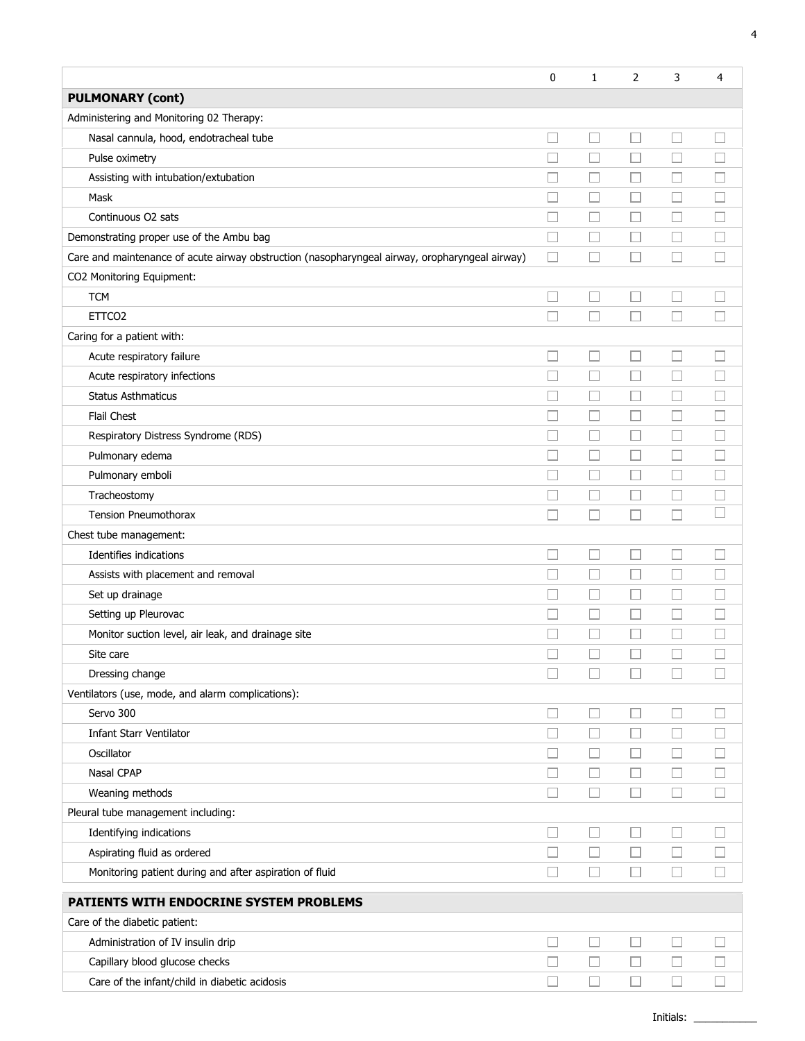|                                                                                                | 0                        | $\mathbf{1}$ | 2                        | 3                           | 4      |
|------------------------------------------------------------------------------------------------|--------------------------|--------------|--------------------------|-----------------------------|--------|
| <b>PULMONARY (cont)</b>                                                                        |                          |              |                          |                             |        |
| Administering and Monitoring 02 Therapy:                                                       |                          |              |                          |                             |        |
| Nasal cannula, hood, endotracheal tube                                                         |                          | □            | П                        | □                           | H      |
| Pulse oximetry                                                                                 |                          | $\Box$       | $\Box$                   | $\overline{\phantom{a}}$    |        |
| Assisting with intubation/extubation                                                           |                          | H            | $\Box$                   | $\overline{\phantom{a}}$    |        |
| Mask                                                                                           |                          | $\Box$       | $\Box$                   | $\Box$                      |        |
| Continuous O2 sats                                                                             |                          | Ш            | Н                        | □                           |        |
| Demonstrating proper use of the Ambu bag                                                       | $\Box$                   | ⊔            | $\Box$                   | ⊔                           |        |
| Care and maintenance of acute airway obstruction (nasopharyngeal airway, oropharyngeal airway) | П                        | $\Box$       | H                        | П                           |        |
| CO2 Monitoring Equipment:                                                                      |                          |              |                          |                             |        |
| <b>TCM</b>                                                                                     | $\Box$                   | □            | $\Box$                   | $\mathcal{L}_{\mathcal{A}}$ |        |
| ETTCO <sub>2</sub>                                                                             |                          | □            |                          | □                           |        |
| Caring for a patient with:                                                                     |                          |              |                          |                             |        |
| Acute respiratory failure                                                                      | L                        | □            | $\Box$                   | $\overline{\phantom{a}}$    |        |
| Acute respiratory infections                                                                   | $\Box$                   | $\Box$       | $\Box$                   | $\Box$                      | П      |
| <b>Status Asthmaticus</b>                                                                      |                          | $\Box$       | $\sim$                   | □                           |        |
| Flail Chest                                                                                    | Г                        | □            | $\Box$                   | $\Box$                      |        |
| Respiratory Distress Syndrome (RDS)                                                            | П                        | □            | П                        | П                           | u      |
| Pulmonary edema                                                                                | П                        | $\Box$       | $\Box$                   | $\Box$                      | П      |
| Pulmonary emboli                                                                               | $\Box$                   | $\Box$       | $\Box$                   | □                           | m.     |
| Tracheostomy                                                                                   | $\Box$                   | $\Box$       | П                        | $\Box$                      |        |
| Tension Pneumothorax                                                                           | П                        | $\Box$       | П                        | П                           |        |
| Chest tube management:                                                                         |                          |              |                          |                             |        |
| Identifies indications                                                                         |                          | $\Box$       |                          | $\sim$                      |        |
| Assists with placement and removal                                                             |                          | $\Box$       |                          | $\Box$                      |        |
| Set up drainage                                                                                |                          | $\Box$       |                          |                             |        |
| Setting up Pleurovac                                                                           |                          | $\Box$       |                          |                             |        |
| Monitor suction level, air leak, and drainage site                                             |                          |              |                          |                             |        |
| Site care                                                                                      |                          |              |                          |                             |        |
| Dressing change                                                                                |                          | $\Box$       |                          |                             |        |
| Ventilators (use, mode, and alarm complications):                                              |                          |              |                          |                             |        |
| Servo 300                                                                                      | $\Box$                   | $\Box$       | П                        | □                           |        |
| <b>Infant Starr Ventilator</b>                                                                 |                          | $\Box$       | Ш                        | □                           |        |
| Oscillator                                                                                     |                          | П            | $\overline{\phantom{a}}$ | ш                           |        |
| Nasal CPAP                                                                                     |                          | $\Box$       | $\Box$                   | $\Box$                      |        |
| Weaning methods                                                                                | П                        | $\Box$       | П                        | П                           | H      |
| Pleural tube management including:                                                             |                          |              |                          |                             |        |
| Identifying indications                                                                        | L                        | □            | Ш                        | $\Box$                      |        |
| Aspirating fluid as ordered                                                                    | $\overline{\phantom{a}}$ | $\Box$       | ⊔                        | $\Box$                      |        |
| Monitoring patient during and after aspiration of fluid                                        | П                        | $\Box$       | П                        | П                           | $\Box$ |
| PATIENTS WITH ENDOCRINE SYSTEM PROBLEMS                                                        |                          |              |                          |                             |        |
| Care of the diabetic patient:                                                                  |                          |              |                          |                             |        |
| Administration of IV insulin drip                                                              |                          | $\Box$       | $\sim$                   |                             |        |
| Capillary blood glucose checks                                                                 |                          | $\Box$       | $\Box$                   | ⊔                           |        |
| Care of the infant/child in diabetic acidosis                                                  |                          | $\Box$       | П                        | □                           | $\Box$ |
|                                                                                                |                          |              |                          |                             |        |